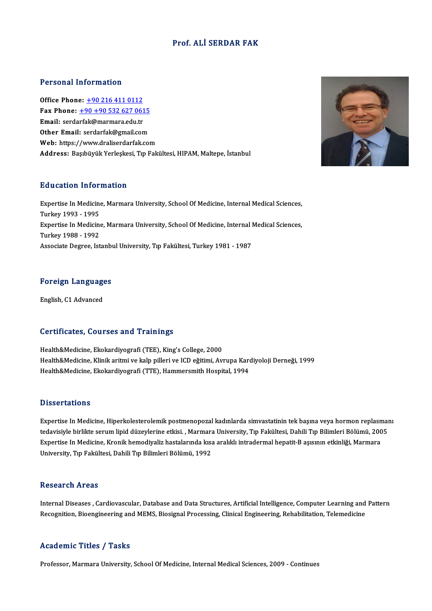### Prof. ALİ SERDAR FAK

### Personal Information

Office Phone: +90 216 411 0112 Fax Phone: <u>+90 216 411 0112</u><br>Fax Phone: <u>+90 +90 532 627 0615</u><br>Fmail: cordorfol:@marmare.edu.tr Office Phone: <u>+90 216 411 0112</u><br>Fax Phone: <u>+90 +90 532 627 061</u><br>Email: serda[rfak@marmara.edu.tr](tel:+90 +90 532 627 0615) Fax Phone: <u>+90 +90 532 627 0615</u><br>Email: serdarfak@marmara.edu.tr<br>Other Email: serdarfak@gmail.com Email: serdarfak@marmara.edu.tr<br>Other Email: serdarfak@gmail.com<br>Web: https://www.draliserdarfak.com Address: Başıbüyük Yerleşkesi, Tıp Fakültesi, HIPAM, Maltepe, İstanbul

### Education Information

E**ducation Information**<br>Expertise In Medicine, Marmara University, School Of Medicine, Internal Medical Sciences,<br>Turkey 1993 - 1995 Expertise In Medicine<br>Turkey 1993 - 1995<br>Eunestise In Medicine Expertise In Medicine, Marmara University, School Of Medicine, Internal Medical Sciences,<br>Turkey 1993 - 1995<br>Expertise In Medicine, Marmara University, School Of Medicine, Internal Medical Sciences,<br>Turkey 1999 - 1992 Turkey 1993 - 1995<br>Expertise In Medicine<br>Turkey 1988 - 1992<br>Associate Degree, Ist Expertise In Medicine, Marmara University, School Of Medicine, Internal I<br>Turkey 1988 - 1992<br>Associate Degree, Istanbul University, Tıp Fakültesi, Turkey 1981 - 1987

# Foreign Languages <mark>Foreign Language</mark><br>English, C1 Advanced

# English, C1 Advanced<br>Certificates, Courses and Trainings

Health&Medicine, Ekokardiyografi (TEE), King's College, 2000 uor enreates) uourses anu "runnings"<br>Health&Medicine, Ekokardiyografi (TEE), King's College, 2000<br>Health&Medicine, Klinik aritmi ve kalp pilleri ve ICD eğitimi, Avrupa Kardiyoloji Derneği, 1999<br>Health&Medicine, Ekokardiyog Health&Medicine, Ekokardiyografi (TEE), King's College, 2000<br>Health&Medicine, Klinik aritmi ve kalp pilleri ve ICD eğitimi, Avrupa Karo<br>Health&Medicine, Ekokardiyografi (TTE), Hammersmith Hospital, 1994 Health&Medicine, Ekokardiyografi (TTE), Hammersmith Hospital, 1994<br>Dissertations

Expertise In Medicine, Hiperkolesterolemik postmenopozal kadınlarda simvastatinin tek başına veya hormon replasmanı tedavisiyle birliktedavis<br>Expertise In Medicine, Hiperkolesterolemik postmenopozal kadınlarda simvastatinin tek başına veya hormon replasmaı<br>tedavisiyle birlikte serum lipid düzeylerine etkisi. , Marmara University, Tıp Fa Expertise In Medicine, Hiperkolesterolemik postmenopozal kadınlarda simvastatinin tek başına veya hormon replasn<br>tedavisiyle birlikte serum lipid düzeylerine etkisi. , Marmara University, Tıp Fakültesi, Dahili Tıp Bilimler tedavisiyle birlikte serum lipid düzeylerine etkisi. , Marmara<br>Expertise In Medicine, Kronik hemodiyaliz hastalarında kısa<br>University, Tıp Fakültesi, Dahili Tıp Bilimleri Bölümü, 1992 University, Tıp Fakültesi, Dahili Tıp Bilimleri Bölümü, 1992<br>Research Areas

Research Areas<br>Internal Diseases , Cardiovascular, Database and Data Structures, Artificial Intelligence, Computer Learning and Pattern<br>Resegnition, Rioanginearing and MEMS, Biogispel Bresegsing, Clinical Enginearing, Pehe Resear en III eas<br>Internal Diseases , Cardiovascular, Database and Data Structures, Artificial Intelligence, Computer Learning and<br>Recognition, Bioengineering and MEMS, Biosignal Processing, Clinical Engineering, Rehabilit Recognition, Bioengineering and MEMS, Biosignal Processing, Clinical Engineering, Rehabilitation, Telemedicine<br>Academic Titles / Tasks

Professor, Marmara University, School Of Medicine, Internal Medical Sciences, 2009 - Continues

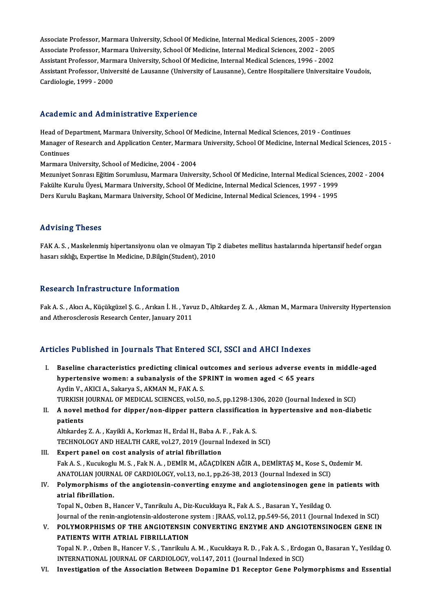Associate Professor, Marmara University, School Of Medicine, Internal Medical Sciences, 2005 - 2009<br>Associate Professor, Marmara University, School Of Medicine, Internal Medical Sciences, 2005 - 2009 Associate Professor, Marmara University, School Of Medicine, Internal Medical Sciences, 2005 - 2009<br>Associate Professor, Marmara University, School Of Medicine, Internal Medical Sciences, 2002 - 2005<br>Assistant Professor, M Associate Professor, Marmara University, School Of Medicine, Internal Medical Sciences, 2005 - 2009<br>Associate Professor, Marmara University, School Of Medicine, Internal Medical Sciences, 2002 - 2005<br>Assistant Professor, M Associate Professor, Marmara University, School Of Medicine, Internal Medical Sciences, 2002 - 2005<br>Assistant Professor, Marmara University, School Of Medicine, Internal Medical Sciences, 1996 - 2002<br>Assistant Professor, U Assistant Professor, Marn<br>Assistant Professor, Unive<br>Cardiologie, 1999 - 2000

# Cardiologie, 1999 - 2000<br>Academic and Administrative Experience

Academic and Administrative Experience<br>Head of Department, Marmara University, School Of Medicine, Internal Medical Sciences, 2019 - Continues<br>Manager of Besearch and Application Contor Marmara University, School Of Medici Manager of Department, Marmara University, School Of Medicine, Internal Medical Sciences, 2019 - Continues<br>Manager of Research and Application Center, Marmara University, School Of Medicine, Internal Medical Sciences, 2015 Head of De<br>Manager o<br>Continues<br>Marmara I Manager of Research and Application Center, Marmar<br>Continues<br>Marmara University, School of Medicine, 2004 - 2004<br>Marunivet Sonnası Făitim Sonumlucu, Marmara Univer Continues<br>Marmara University, School of Medicine, 2004 - 2004<br>Mezuniyet Sonrası Eğitim Sorumlusu, Marmara University, School Of Medicine, Internal Medical Sciences, 2002 - 2004

Fakülte Kurulu Üyesi, Marmara University, School Of Medicine, Internal Medical Sciences, 1997 - 1999 Ders Kurulu Başkanı, Marmara University, School Of Medicine, Internal Medical Sciences, 1994 - 1995

### Advising Theses

FAK A.S., Maskelenmiş hipertansiyonu olan ve olmayan Tip 2 diabetes mellitus hastalarında hipertansif hedef organ hasarı sıklığı, Expertise In Medicine, D.Bilgin(Student), 2010

### Research Infrastructure Information

Research Infrastructure Information<br>Fak A. S. , Akıcı A., Küçükgüzel Ş. G. , Arıkan İ. H. , Yavuz D., Altıkardeş Z. A. , Akman M., Marmara University Hypertension<br>and Atheresslaresis Researsh Center January 2011 resear on mini aser a cear o miror macron<br>Fak A. S. , Akici A., Küçükgüzel Ş. G. , Arikan İ. H. , Yavi<br>and Atherosclerosis Research Center, January 2011

# and Atherosclerosis Research Center, January 2011<br>Articles Published in Journals That Entered SCI, SSCI and AHCI Indexes

- rticles Published in Journals That Entered SCI, SSCI and AHCI Indexes<br>I. Baseline characteristics predicting clinical outcomes and serious adverse events in middle-aged<br>hypertensive wemen: a subanalysis of the SPPINT in we hypertensive and your mate interest on 501, 5001 and three interests<br>Baseline characteristics predicting clinical outcomes and serious adverse even<br>hypertensive women: a subanalysis of the SPRINT in women aged < 65 years hypertensive women: a subanalysis of the SPRINT in women aged  $< 65$  years Aydin V., AKICI A., Sakarya S., AKMAN M., FAK A. S. hypertensive women: a subanalysis of the SPRINT in women aged < 65 years<br>Aydin V., AKICI A., Sakarya S., AKMAN M., FAK A. S.<br>TURKISH JOURNAL OF MEDICAL SCIENCES, vol.50, no.5, pp.1298-1306, 2020 (Journal Indexed in SCI)<br>A Aydin V., AKICI A., Sakarya S., AKMAN M., FAK A. S.<br>TURKISH JOURNAL OF MEDICAL SCIENCES, vol.50, no.5, pp.1298-1306, 2020 (Journal Indexed in SCI)<br>II. A novel method for dipper/non-dipper pattern classification in hype
- TURKISH<br>**A** novel<br>patients<br>Altkordes A novel method for dipper/non-dipper pattern classification<br>patients<br>Altıkardeş Z.A. , Kayikli A., Korkmaz H., Erdal H., Baba A. F. , Fak A. S.<br>TECHNOLOCY AND HEALTH CAPE vol 27–2019 (Journal Indoved in

patients<br>Altıkardeş Z. A. , Kayikli A., Korkmaz H., Erdal H., Baba A. F. , Fak A. S.<br>TECHNOLOGY AND HEALTH CARE, vol.27, 2019 (Journal Indexed in SCI)

- III. Expert panel on cost analysis of atrial fibrillation TECHNOLOGY AND HEALTH CARE, vol.27, 2019 (Journal Indexed in SCI)<br>Expert panel on cost analysis of atrial fibrillation<br>Fak A. S. , Kucukoglu M. S. , Fak N. A. , DEMİR M., AĞAÇDİKEN AĞIR A., DEMİRTAŞ M., Kose S., Ozdemir M. Expert panel on cost analysis of atrial fibrillation<br>Fak A. S. , Kucukoglu M. S. , Fak N. A. , DEMİR M., AĞAÇDİKEN AĞIR A., DEMİRTAŞ M., Kose S., O<br>ANATOLIAN JOURNAL OF CARDIOLOGY, vol.13, no.1, pp.26-38, 2013 (Journal Ind ANATOLIAN JOURNAL OF CARDIOLOGY, vol.13, no.1, pp.26-38, 2013 (Journal Indexed in SCI)
- IV. Polymorphisms of the angiotensin-converting enzyme and angiotensinogen gene in patients with Polymorphisms of the angiotensin-converting enzyme and angiotensinogen gene in<br>atrial fibrillation.<br>Topal N., Ozben B., Hancer V., Tanrikulu A., Diz-Kucukkaya R., Fak A. S. , Basaran Y., Yesildag O.<br>Journal of the ronin an

atrial fibrillation.<br>Topal N., Ozben B., Hancer V., Tanrikulu A., Diz-Kucukkaya R., Fak A. S. , Basaran Y., Yesildag O.<br>Journal of the renin-angiotensin-aldosterone system : JRAAS, vol.12, pp.549-56, 2011 (Journal Indexed Topal N., Ozben B., Hancer V., Tanrikulu A., Diz-Kucukkaya R., Fak A. S. , Basaran Y., Yesildag O.<br>Journal of the renin-angiotensin-aldosterone system : JRAAS, vol.12, pp.549-56, 2011 (Journal Indexed in SCI)<br>V. POLYMORPHI

Journal of the renin-angiotensin-aldosterone:<br>POLYMORPHISMS OF THE ANGIOTENSIN<br>PATIENTS WITH ATRIAL FIBRILLATION<br>Tonal N. B. Ogbor B. Hanger V. S. Tanrikulu POLYMORPHISMS OF THE ANGIOTENSIN CONVERTING ENZYME AND ANGIOTENSINOGEN GENE IN<br>PATIENTS WITH ATRIAL FIBRILLATION<br>Topal N.P., Ozben B., Hancer V. S., Tanrikulu A. M. , Kucukkaya R. D. , Fak A. S. , Erdogan O., Basaran Y., Y PATIENTS WITH ATRIAL FIBRILLATION<br>Topal N. P. , Ozben B., Hancer V. S. , Tanrikulu A. M. , Kucukkaya R. D. , Fak A. S. , Erdogan O., Basaran Y., Yesildag O.<br>INTERNATIONAL JOURNAL OF CARDIOLOGY, vol.147, 2011 (Journal Index

VI. Investigation of the Association Between Dopamine D1 Receptor Gene Polymorphisms and Essential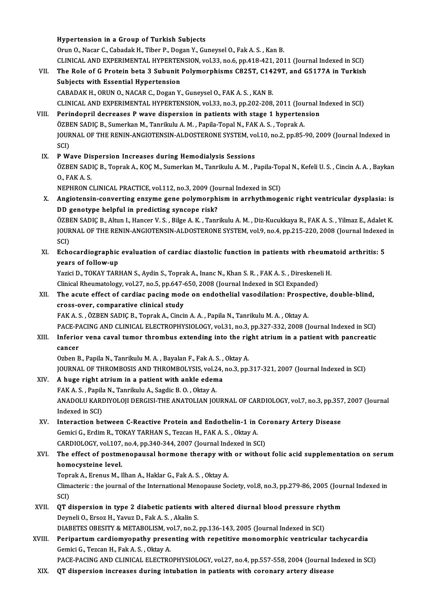## Hypertension in a Group of Turkish Subjects Orun O., Nacar C., Cabadak H., Tiber P., Dogan Y., Guneysel O., Fak A. S., Kan B. Hypertension in a Group of Turkish Subjects<br>Orun O., Nacar C., Cabadak H., Tiber P., Dogan Y., Guneysel O., Fak A. S. , Kan B.<br>CLINICAL AND EXPERIMENTAL HYPERTENSION, vol.33, no.6, pp.418-421, 2011 (Journal Indexed in SCI) Orun O., Nacar C., Cabadak H., Tiber P., Dogan Y., Guneysel O., Fak A. S. , Kan B.<br>CLINICAL AND EXPERIMENTAL HYPERTENSION, vol.33, no.6, pp.418-421, 2011 (Journal Indexed in SCI)<br>VII. The Role of G Protein beta 3 Subunit P CLINICAL AND EXPERIMENTAL HYPERTENT<br>The Role of G Protein beta 3 Subunit<br>Subjects with Essential Hypertension The Role of G Protein beta 3 Subunit Polymorphisms C825T, C14:<br>Subjects with Essential Hypertension<br>CABADAK H., ORUN O., NACAR C., Dogan Y., Guneysel O., FAK A. S. , KAN B.<br>CLINICAL AND EXPERIMENTAL HYPERTENSION .vel 33, p Subjects with Essential Hypertension<br>CABADAK H., ORUN O., NACAR C., Dogan Y., Guneysel O., FAK A. S. , KAN B.<br>CLINICAL AND EXPERIMENTAL HYPERTENSION, vol.33, no.3, pp.202-208, 2011 (Journal Indexed in SCI)<br>Perindenril desr CABADAK H., ORUN O., NACAR C., Dogan Y., Guneysel O., FAK A. S., KAN B.<br>CLINICAL AND EXPERIMENTAL HYPERTENSION, vol.33, no.3, pp.202-208, 2011 (Journal I.<br>VIII. Perindopril decreases P wave dispersion in patients with stag CLINICAL AND EXPERIMENTAL HYPERTENSION, vol.33, no.3, pp.202-208, 2011 (Jou<br>Perindopril decreases P wave dispersion in patients with stage 1 hyperten<br>ÖZBEN SADIÇ B., Sumerkan M., Tanrikulu A.M., Papila-Topal N., FAK A.S., Perindopril decreases P wave dispersion in patients with stage 1 hypertension<br>ÖZBEN SADIÇ B., Sumerkan M., Tanrikulu A. M. , Papila-Topal N., FAK A. S. , Toprak A.<br>JOURNAL OF THE RENIN-ANGIOTENSIN-ALDOSTERONE SYSTEM, vol.1 ÖZBEN SADIC B., Sumerkan M., Tanrikulu A. M., Papila-Topal N., FAK A. S., Toprak A. IX. PWave Dispersion Increases during Hemodialysis Sessions SCI)<br>P Wave Dispersion Increases during Hemodialysis Sessions<br>ÖZBEN SADIÇ B., Toprak A., KOÇ M., Sumerkan M., Tanrikulu A. M. , Papila-Topal N., Kefeli U. S. , Cincin A. A. , Baykan<br>O. FAK A. S **P Wave Dis<br>ÖZBEN SAD<br>O., FAK A. S.<br>NEDHRON C** ÖZBEN SADIÇ B., Toprak A., KOÇ M., Sumerkan M., Tanrikulu A. M. , Papila-To<sub>l</sub><br>O., FAK A. S.<br>NEPHRON CLINICAL PRACTICE, vol.112, no.3, 2009 (Journal Indexed in SCI)<br>Angiotonein, converting engume gene polymernhism in ernby 0., FAK A. S.<br>NEPHRON CLINICAL PRACTICE, vol.112, no.3, 2009 (Journal Indexed in SCI)<br>X. Angiotensin-converting enzyme gene polymorphism in arrhythmogenic right ventricular dysplasia: is<br>DD genotype helpful in predicti NEPHRON CLINICAL PRACTICE, vol.112, no.3, 2009 (Journal Indexed in SCI) Angiotensin-converting enzyme gene polymorphism in arrhythmogenic right ventricular dysplasia: is<br>DD genotype helpful in predicting syncope risk?<br>ÖZBEN SADIÇ B., Altun I., Hancer V. S. , Bilge A. K. , Tanrikulu A. M. , Diz DD genotype helpful in predicting syncope risk?<br>ÖZBEN SADIÇ B., Altun I., Hancer V. S. , Bilge A. K. , Tanrikulu A. M. , Diz-Kucukkaya R., FAK A. S. , Yilmaz E., Adalet K.<br>JOURNAL OF THE RENIN-ANGIOTENSIN-ALDOSTERONE SYSTE ÖZBI<br>JOUR<br>SCI)<br>Eshs JOURNAL OF THE RENIN-ANGIOTENSIN-ALDOSTERONE SYSTEM, vol.9, no.4, pp.215-220, 2008 (Journal Indexed<br>SCI)<br>XI. Echocardiographic evaluation of cardiac diastolic function in patients with rheumatoid arthritis: 5<br>wears of foll SCI)<br>Echocardiographic<br>years of follow-up<br>Yezisi D. TOKAY TAPI Echocardiographic evaluation of cardiac diastolic function in patients with rheuma<br>years of follow-up<br>Yazici D., TOKAY TARHAN S., Aydin S., Toprak A., Inanc N., Khan S. R. , FAK A. S. , Direskeneli H.<br>Clinical Phoumatalogy years of follow-up<br>Yazici D., TOKAY TARHAN S., Aydin S., Toprak A., Inanc N., Khan S. R. , FAK A. S. , Direskene<br>Clinical Rheumatology, vol.27, no.5, pp.647-650, 2008 (Journal Indexed in SCI Expanded)<br>The agute offect of c Yazici D., TOKAY TARHAN S., Aydin S., Toprak A., Inanc N., Khan S. R. , FAK A. S. , Direskeneli H.<br>Clinical Rheumatology, vol.27, no.5, pp.647-650, 2008 (Journal Indexed in SCI Expanded)<br>XII. The acute effect of cardiac pa Clinical Rheumatology, vol.27, no.5, pp.647-650, 2008 (Journal Indexed in SCI Expanded)<br>The acute effect of cardiac pacing mode on endothelial vasodilation: Prospectiv<br>cross-over, comparative clinical study<br>FAK A. S., ÖZBE The acute effect of cardiac pacing mode on endothelial vasodilation: Prospe<br>cross-over, comparative clinical study<br>FAK A. S., ÖZBEN SADIÇ B., Toprak A., Cincin A. A. , Papila N., Tanrikulu M. A. , Oktay A.<br>PACE PACING AND PACE-PACING AND CLINICAL ELECTROPHYSIOLOGY, vol.31, no.3, pp.327-332, 2008 (Journal Indexed in SCI) FAK A. S. , ÖZBEN SADIÇ B., Toprak A., Cincin A. A. , Papila N., Tanrikulu M. A. , Oktay A.<br>PACE-PACING AND CLINICAL ELECTROPHYSIOLOGY, vol.31, no.3, pp.327-332, 2008 (Journal Indexed in SCI)<br>XIII. Inferior vena caval tumo PACE-P<sub>4</sub><br>Inferio<br>cancer<br>Orben <sup>p</sup> Inferior vena caval tumor thrombus extending into the rig<br>cancer<br>Ozben B., Papila N., Tanrikulu M. A. , Bayalan F., Fak A. S. , Oktay A.<br>JOUPMAL OF THROMBOSIS AND THROMBOLYSIS xpl 24, pp 2, pp cancer<br>Ozben B., Papila N., Tanrikulu M. A. , Bayalan F., Fak A. S. , Oktay A.<br>JOURNAL OF THROMBOSIS AND THROMBOLYSIS, vol.24, no.3, pp.317-321, 2007 (Journal Indexed in SCI)<br>A. hugo right etnium in a natient with ankle ed Ozben B., Papila N., Tanrikulu M. A. , Bayalan F., Fak A. S. , Oktay A.<br>JOURNAL OF THROMBOSIS AND THROMBOLYSIS, vol.24, no.3, pp.:<br>XIV. A huge right atrium in a patient with ankle edema<br>FAK A. S. , Papila N., Tanrikulu A., FRAKAL OF THROMBOSIS AND THROMBOLYSIS, vol.2<br>**A huge right atrium in a patient with ankle edem**<br>FAK A.S., Papila N., Tanrikulu A., Sagdic B.O., Oktay A.<br>ANADOLU KARDIYOLOU DERGISLTUE ANATOLIAN IOL A huge right atrium in a patient with ankle edema<br>FAK A. S. , Papila N., Tanrikulu A., Sagdic B. O. , Oktay A.<br>ANADOLU KARDIYOLOJI DERGISI-THE ANATOLIAN JOURNAL OF CARDIOLOGY, vol.7, no.3, pp.357, 2007 (Journal<br>Indeved in FAK A. S. , Papil:<br>ANADOLU KARI<br>Indexed in SCI)<br>Interaction he ANADOLU KARDIYOLOJI DERGISI-THE ANATOLIAN JOURNAL OF CARDIOLOGY, vol.7, no.3, pp.357<br>Indexed in SCI)<br>XV. Interaction between C-Reactive Protein and Endothelin-1 in Coronary Artery Disease<br>Comisi C. Erdim B. TOKAY TABHAN S. Indexed in SCI)<br>Interaction between C-Reactive Protein and Endothelin-1 in Gemici G., Erdim R., TOKAY TARHAN S., Tezcan H., FAK A. S. , Oktay A. Interaction between C-Reactive Protein and Endothelin-1 in Co.<br>Gemici G., Erdim R., TOKAY TARHAN S., Tezcan H., FAK A. S. , Oktay A.<br>CARDIOLOGY, vol.107, no.4, pp.340-344, 2007 (Journal Indexed in SCI)<br>The effect of nestmo XVI. The effect of postmenopausal hormone therapy with or without folic acid supplementation on serum CARDIOLOGY, vol.107, no.4, pp.340-344, 2007 (Journal Indexed in SCI) The effect of postmenopausal hormone therapy with<br>homocysteine level.<br>Toprak A., Erenus M., Ilhan A., Haklar G., Fak A. S. , Oktay A.<br>Climectorie : the journal of the International Menopause So homocysteine level.<br>Toprak A., Erenus M., Ilhan A., Haklar G., Fak A. S. , Oktay A.<br>Climacteric : the journal of the International Menopause Society, vol.8, no.3, pp.279-86, 2005 (Journal Indexed in<br>SCD Topr<br>Clima<br>SCI)<br>OT d Climacteric : the journal of the International Menopause Society, vol.8, no.3, pp.279-86, 2005 (Journal SCI)<br>XVII. QT dispersion in type 2 diabetic patients with altered diurnal blood pressure rhythm<br>Dewnali O. Exec H. You SCI)<br>QT dispersion in type 2 diabetic patients with altered diurnal blood pressure rhythm<br>Deyneli O., Ersoz H., Yavuz D., Fak A. S. , Akalin S. QT dispersion in type 2 diabetic patients with altered diurnal blood pressure rhy<br>Deyneli O., Ersoz H., Yavuz D., Fak A. S. , Akalin S.<br>DIABETES OBESITY & METABOLISM, vol.7, no.2, pp.136-143, 2005 (Journal Indexed in SCI)<br> XVIII. Peripartum cardiomyopathy presenting with repetitive monomorphic ventricular tachycardia<br>Gemici G., Tezcan H., Fak A. S., Oktay A. DIABETES OBESITY & METABOLISM, vo<br>Peripartum cardiomyopathy prese<br>Gemici G., Tezcan H., Fak A. S. , Oktay A.<br>PACE PACINC AND CLINICAL ELECTRO PACE-PACING AND CLINICAL ELECTROPHYSIOLOGY, vol.27, no.4, pp.557-558, 2004 (Journal Indexed in SCI) XIX. QT dispersion increases during intubation in patients with coronary artery disease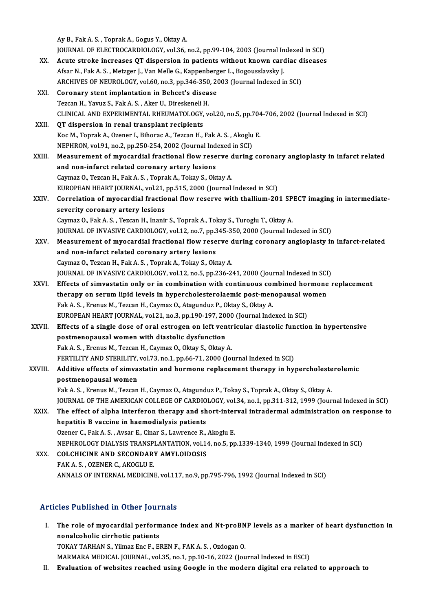AyB.,FakA.S. ,ToprakA.,GogusY.,OktayA. Ay B., Fak A. S. , Toprak A., Gogus Y., Oktay A.<br>JOURNAL OF ELECTROCARDIOLOGY, vol.36, no.2, pp.99-104, 2003 (Journal Indexed in SCI)<br>Agute strake instassese OT dispersion in patients without known sandias diseases Ay B., Fak A. S. , Toprak A., Gogus Y., Oktay A.<br>JOURNAL OF ELECTROCARDIOLOGY, vol.36, no.2, pp.99-104, 2003 (Journal Indexed in SCI)<br>XX. Acute stroke increases QT dispersion in patients without known cardiac diseases<br>Afra JOURNAL OF ELECTROCARDIOLOGY, vol.36, no.2, pp.99-104, 2003 (Journal In<br>Acute stroke increases QT dispersion in patients without known card<br>Afsar N., Fak A. S. , Metzger J., Van Melle G., Kappenberger L., Bogousslavsky J.<br> XX. Acute stroke increases QT dispersion in patients without known cardiac diseases<br>Afsar N., Fak A. S. , Metzger J., Van Melle G., Kappenberger L., Bogousslavsky J.<br>ARCHIVES OF NEUROLOGY, vol.60, no.3, pp.346-350, 2003 (J XXI. Coronary stent implantation in Behcet's disease ARCHIVES OF NEUROLOGY, vol.60, no.3, pp.346-350<br>Coronary stent implantation in Behcet's disea<br>Tezcan H., Yavuz S., Fak A. S. , Aker U., Direskeneli H.<br>CLINICAL AND EXPERIMENTAL BHEUMATOLOCY v Coronary stent implantation in Behcet's disease<br>Tezcan H., Yavuz S., Fak A. S. , Aker U., Direskeneli H.<br>CLINICAL AND EXPERIMENTAL RHEUMATOLOGY, vol.20, no.5, pp.704-706, 2002 (Journal Indexed in SCI)<br>OT dispersion in rena Tezcan H., Yavuz S., Fak A. S., Aker U., Direskeneli I<br>CLINICAL AND EXPERIMENTAL RHEUMATOLOGY,<br>XXII. QT dispersion in renal transplant recipients CLINICAL AND EXPERIMENTAL RHEUMATOLOGY, vol.20, no.5, pp.704<br>QT dispersion in renal transplant recipients<br>Koc M., Toprak A., Ozener I., Bihorac A., Tezcan H., Fak A. S. , Akoglu E.<br>NEPUPON .vol.91, no.2, np.250,254, 2002 ( QT dispersion in renal transplant recipients<br>Koc M., Toprak A., Ozener I., Bihorac A., Tezcan H., Fak A. S., Akoglu E. XXIII. Measurement of myocardial fractional flow reserve during coronary angioplasty in infarct related<br>and non-infarct related coronary artery lesions NEPHRON, vol.91, no.2, pp.250-254, 2002 (Journal Indexed in SCI) Caymaz O., Tezcan H., Fak A. S., Toprak A., Tokay S., Oktay A. and non-infarct related coronary artery lesions<br>Caymaz O., Tezcan H., Fak A. S. , Toprak A., Tokay S., Oktay A.<br>EUROPEAN HEART JOURNAL, vol.21, pp.515, 2000 (Journal Indexed in SCI)<br>Correlation of muogardial fractional flo Caymaz O., Tezcan H., Fak A. S. , Toprak A., Tokay S., Oktay A.<br>EUROPEAN HEART JOURNAL, vol.21, pp.515, 2000 (Journal Indexed in SCI)<br>XXIV. Correlation of myocardial fractional flow reserve with thallium-201 SPECT imaging EUROPEAN HEART JOURNAL, vol.21,<br>Correlation of myocardial fraction<br>severity coronary artery lesions Correlation of myocardial fractional flow reserve with thallium-201 SP<br>severity coronary artery lesions<br>Caymaz O., Fak A. S. , Tezcan H., Inanir S., Toprak A., Tokay S., Turoglu T., Oktay A.<br>JOUPMAL OF INVASIVE CAPDIOLOGY severity coronary artery lesions<br>Caymaz O., Fak A. S. , Tezcan H., Inanir S., Toprak A., Tokay S., Turoglu T., Oktay A.<br>JOURNAL OF INVASIVE CARDIOLOGY, vol.12, no.7, pp.345-350, 2000 (Journal Indexed in SCI)<br>Measurement of Caymaz O., Fak A. S. , Tezcan H., Inanir S., Toprak A., Tokay S., Turoglu T., Oktay A.<br>JOURNAL OF INVASIVE CARDIOLOGY, vol.12, no.7, pp.345-350, 2000 (Journal Indexed in SCI)<br>XXV. Measurement of myocardial fractional flow JOURNAL OF INVASIVE CARDIOLOGY, vol.12, no.7, pp.3<br>Measurement of myocardial fractional flow rese<br>and non-infarct related coronary artery lesions<br>Caumaz O. Tezeon H. Fak A. S. Tenrak A. Tekay S. Okt Measurement of myocardial fractional flow reserve c<br>and non-infarct related coronary artery lesions<br>Caymaz O., Tezcan H., Fak A. S. , Toprak A., Tokay S., Oktay A.<br>JOUPNAL OF INVASIVE CAPDIOLOCY, val 12, no 5, nn 226, 2. and non-infarct related coronary artery lesions<br>Caymaz O., Tezcan H., Fak A. S. , Toprak A., Tokay S., Oktay A.<br>JOURNAL OF INVASIVE CARDIOLOGY, vol.12, no.5, pp.236-241, 2000 (Journal Indexed in SCI)<br>Effects of simuastatin Caymaz O., Tezcan H., Fak A. S. , Toprak A., Tokay S., Oktay A.<br>JOURNAL OF INVASIVE CARDIOLOGY, vol.12, no.5, pp.236-241, 2000 (Journal Indexed in SCI)<br>XXVI. Effects of simvastatin only or in combination with continuous co JOURNAL OF INVASIVE CARDIOLOGY, vol.12, no.5, pp.236-241, 2000 (Journal Indexed in SCI<br>Effects of simvastatin only or in combination with continuous combined hormone<br>therapy on serum lipid levels in hypercholesterolaemic p Effects of simvastatin only or in combination with continuous cor<br>therapy on serum lipid levels in hypercholesterolaemic post-men<br>Fak A. S., Erenus M., Tezcan H., Caymaz O., Atagunduz P., Oktay S., Oktay A.<br>FUROPEAN HEAPT therapy on serum lipid levels in hypercholesterolaemic post-menopausal women<br>Fak A. S. , Erenus M., Tezcan H., Caymaz O., Atagunduz P., Oktay S., Oktay A.<br>EUROPEAN HEART JOURNAL, vol.21, no.3, pp.190-197, 2000 (Journal Ind XXVII. Effects of a single dose of oral estrogen on left ventricular diastolic function in hypertensive EUROPEAN HEART JOURNAL, vol.21, no.3, pp.190-197, 20<br>Effects of a single dose of oral estrogen on left ven<br>postmenopausal women with diastolic dysfunction<br>Eak A.S. Franus M. Teggan H. Caumar O. Oltay S. Oltay Effects of a single dose of oral estrogen on left ventr<br>postmenopausal women with diastolic dysfunction<br>Fak A. S., Erenus M., Tezcan H., Caymaz O., Oktay S., Oktay A.<br>EERTH ITY AND STERH ITY vol 72 no 1 nn 66 71 2000 (Jo Fak A. S., Erenus M., Tezcan H., Caymaz O., Oktay S., Oktay A.<br>FERTILITY AND STERILITY, vol.73, no.1, pp.66-71, 2000 (Journal Indexed in SCI) Fak A. S. , Erenus M., Tezcan H., Caymaz O., Oktay S., Oktay A.<br>FERTILITY AND STERILITY, vol.73, no.1, pp.66-71, 2000 (Journal Indexed in SCI)<br>XXVIII. Additive effects of simvastatin and hormone replacement therapy in hype FERTILITY AND STERILITY,<br>Additive effects of simva<br>postmenopausal women Additive effects of simvastatin and hormone replacement therapy in hypercholeste<br>postmenopausal women<br>Fak A. S., Erenus M., Tezcan H., Caymaz O., Atagunduz P., Tokay S., Toprak A., Oktay S., Oktay A.<br>JOUPMAL OF THE AMERICA postmenopausal women<br>Fak A. S. , Erenus M., Tezcan H., Caymaz O., Atagunduz P., Tokay S., Toprak A., Oktay S., Oktay A.<br>JOURNAL OF THE AMERICAN COLLEGE OF CARDIOLOGY, vol.34, no.1, pp.311-312, 1999 (Journal Indexed in SCI) Fak A. S. , Erenus M., Tezcan H., Caymaz O., Atagunduz P., Tokay S., Toprak A., Oktay S., Oktay A.<br>JOURNAL OF THE AMERICAN COLLEGE OF CARDIOLOGY, vol.34, no.1, pp.311-312, 1999 (Journal Indexed in SCI)<br>XXIX. The effect of JOURNAL OF THE AMERICAN COLLEGE OF CARDIO<br>The effect of alpha interferon therapy and sh<br>hepatitis B vaccine in haemodialysis patients<br>Oranar C. Eak A.S., Avrar E. Cinar S. Lawrance B. XXIX. The effect of alpha interferon therapy and short-interval intradermal administration on response to<br>hepatitis B vaccine in haemodialysis patients<br>Ozener C., Fak A.S., Avsar E., Cinar S., Lawrence R., Akoglu E. NEPHROLOGYDIALYSISTRANSPLANTATION,vol.14,no.5,pp.1339-1340,1999 (Journal Indexed inSCI) Ozener C., Fak A. S., Avsar E., Cinar S., Lawrence R.,<br>NEPHROLOGY DIALYSIS TRANSPLANTATION, vol.14<br>XXX. COLCHICINE AND SECONDARY AMYLOIDOSIS **NEPHROLOGY DIALYSIS TRANSP<br>COLCHICINE AND SECONDAR<br>FAK A. S. , OZENER C., AKOGLU E.<br>ANNALS OF INTERNAL MEDICINI** FAK A. S. , OZENER C., AKOGLU E.<br>ANNALS OF INTERNAL MEDICINE, vol.117, no.9, pp.795-796, 1992 (Journal Indexed in SCI)

## Articles Published in Other Journals

- rticles Published in Other Journals<br>I. The role of myocardial performance index and Nt-proBNP levels as a marker of heart dysfunction in<br>Reproducibalis simbotic patients The role of myocardial perform<br>nonalcoholic cirrhotic patients<br>TOKAV TABHAN S, Vilmar Eng E, El nonalcoholic cirrhotic patients<br>TOKAY TARHAN S., Yilmaz Enc F., EREN F., FAK A. S. , Ozdogan O. MARMARA MEDICAL JOURNAL, vol.35, no.1, pp.10-16, 2022 (Journal Indexed in ESCI)
- II. Evaluation of websites reached using Google in the modern digital era related to approach to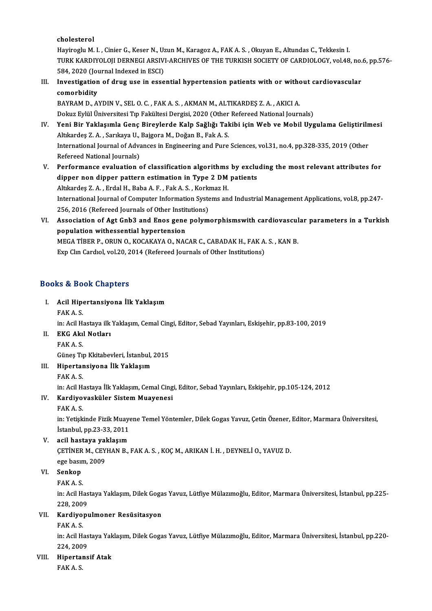cholesterol

Hayiroglu M. I., Cinier G., Keser N., Uzun M., Karagoz A., FAK A. S., Okuyan E., Altundas C., Tekkesin I. TURK KARDIYOLOJI DERNEGI ARSIVI-ARCHIVES OF THE TURKISH SOCIETY OF CARDIOLOGY, vol.48, no.6, pp.576-Hayiroglu M. I. , Cinier G., Keser N., Uz<br>TURK KARDIYOLOJI DERNEGI ARSIV<br>584, 2020 (Journal Indexed in ESCI)<br>Investigation of drug use in esse TURK KARDIYOLOJI DERNEGI ARSIVI-ARCHIVES OF THE TURKISH SOCIETY OF CARDIOLOGY, vol.48, no.<br>584, 2020 (Journal Indexed in ESCI)<br>III. Investigation of drug use in essential hypertension patients with or without cardiovascula

# 584, 2020 (Jou<br>Investigation<br>comorbidity<br>PAVPAM D. A Investigation of drug use in essential hypertension patients with or with<br>comorbidity<br>BAYRAM D., AYDIN V., SEL O. C. , FAK A. S. , AKMAN M., ALTIKARDEŞ Z. A. , AKICI A.<br>Dokuz Evlül Üniversitesi Tın Fakültesi Dergisi 2020 (

comorbidity<br>BAYRAM D., AYDIN V., SEL O. C. , FAK A. S. , AKMAN M., ALTIKARDEŞ Z. A. , AKICI A.<br>Dokuz Eylül Üniversitesi Tıp Fakültesi Dergisi, 2020 (Other Refereed National Journals) BAYRAM D., AYDIN V., SEL O. C. , FAK A. S. , AKMAN M., ALTIKARDEŞ Z. A. , AKICI A.<br>Dokuz Eylül Üniversitesi Tıp Fakültesi Dergisi, 2020 (Other Refereed National Journals)<br>IV. Yeni Bir Yaklaşımla Genç Bireylerde Kalp Sağlığ

- Dokuz Eylül Üniversitesi Tıp Fakültesi Dergisi, 2020 (Other<br>Yeni Bir Yaklaşımla Genç Bireylerde Kalp Sağlığı Tal<br>Altıkardeş Z.A. , Sarıkaya U., Bajgora M., Doğan B., Fak A. S.<br>International Journal of Advances in Engineeri Yeni Bir Yaklaşımla Genç Bireylerde Kalp Sağlığı Takibi için Web ve Mobil Uygulama Geliştiriln<br>Altıkardeş Z. A. , Sarıkaya U., Bajgora M., Doğan B., Fak A. S.<br>International Journal of Advances in Engineering and Pure Scien Altıkardeş Z. A. , Sarıkaya U., Bajgora M., Doğan B., Fak A. S.<br>International Journal of Advances in Engineering and Pure Sciences, vol.31, no.4, pp.328-335, 2019 (Other<br>Refereed National Journals)
- V. Performance evaluation of classification algorithms by excluding themost relevant attributes for Refereed National Journals)<br>Performance evaluation of classification algorithms by exclu<br>dipper non dipper pattern estimation in Type 2 DM patients<br>Altliandes 7 A. Endal H. Paba A.E. Fek A.S. Korlmer H. Performance evaluation of classification algorithms<br>dipper non dipper pattern estimation in Type 2 DM<br>Altıkardeş Z.A., Erdal H., Baba A.F., Fak A.S., Korkmaz H.<br>International Journal of Computer Information Systems on International Journal of Computer Information Systems and Industrial Management Applications, vol.8, pp.247-Altıkardeş Z.A., Erdal H., Baba A.F., Fak A.S., Korkmaz H. 256, 2016 (Refereed Journals of Other Institutions)
- VI. Association of Agt Gnb3 and Enos gene polymorphismswith cardiovascular parameters in a Turkish Association of Agt Gnb3 and Enos gene polymorphismswith cardiovascul<br>population withessential hypertension<br>MEGA TIBER P., ORUN O., KOCAKAYA O., NACAR C., CABADAK H., FAK A. S. , KAN B.<br>Eun Chn Cardial vel 20, 2014 (Referee population withessential hypertension<br>MEGA TİBER P., ORUN O., KOCAKAYA O., NACAR C., CABADAK H., FAK A.<br>Exp Clın Cardıol, vol.20, 2014 (Refereed Journals of Other Institutions) Exp Clm Cardiol, vol.20, 2014 (Refereed Journals of Other Institutions)<br>Books & Book Chapters

- ooks & Book Chapters<br>I. Acil Hipertansiyona İlk Yaklaşım<br>FAKA S Acil Hipe<br>Acil Hipe<br>FAK A. S.
	-

Acil Hipertansiyona İlk Yaklaşım<br>FAK A. S.<br>in: Acil Hastaya ilk Yaklaşım, Cemal Cingi, Editor, Sebad Yayınları, Eskişehir, pp.83-100, 2019<br>EKC Alrıl Notları

FAK A. S.<br>in: Acil Hastaya ilk<br>II. **EKG Akıl Notları**<br>FAK A. S. in: Acil Ha<br>**EKG Ak**ıl<br>FAK A. S.<br>Günes Tu

EKG Akıl Notları<br>FAK A. S.<br>Güneş Tıp Kkitabevleri, İstanbul, 2015<br>Hinertaneiyana İlk Yaklasım

## III. Hipertansiyona İlk Yaklaşım<br>FAK A. S. Güneş Tı<sub>l</sub><br>Hipertar<br>FAK A. S.<br>in: Acil H

Hipertansiyona İlk Yaklaşım<br>FAK A. S.<br>in: Acil Hastaya İlk Yaklaşım, Cemal Cingi, Editor, Sebad Yayınları, Eskişehir, pp.105-124, 2012<br>Kandiyayaakülar Sistam Muayanesi

## IV. Kardiyovasküler Sistem Muayenesi<br>FAK A. S. in: Acil Ha<br><mark>Kardiyo</mark><br>FAK A. S.<br>in: <sup>Votisk</sup>

Kardiyovasküler Sistem Muayenesi<br>FAK A. S.<br>in: Yetişkinde Fizik Muayene Temel Yöntemler, Dilek Gogas Yavuz, Çetin Özener, Editor, Marmara Üniversitesi,<br>İstanbul, pp.23.23.2011 FAK A. S.<br>in: Yetişkinde Fizik Muaye<br>İstanbul, pp.23-33, 2011<br>asil bastava yaklasım

# İstanbul, pp.23-33, 2011<br>V. acil hastaya yaklaşım

İstanbul, pp.23-33, 2011<br>acil hastaya yaklaşım<br>ÇETİNER M., CEYHAN B., FAK A. S. , KOÇ M., ARIKAN İ. H. , DEYNELİ O., YAVUZ D.<br>250 basım 2000. acil hastaya yal<br>ÇETİNER M., CEY<br>ege basım, 2009<br>Senken CETINER<br>ege basır<br>VI. Senkop ege basın<br><mark>Senkop</mark><br>FAK A. S.<br>in: Acil H

Senkop<br>FAK A. S.<br>in: Acil Hastaya Yaklaşım, Dilek Gogas Yavuz, Lütfiye Mülazımoğlu, Editor, Marmara Üniversitesi, İstanbul, pp.225-FAK A. S.<br>in: Acil Has<br>228, 2009<br>Kardiyanı 228, 2009

## VII. Kardiyopulmoner Resüsitasyon<br>FAK A.S.

Kardiyopulmoner Resüsitasyon<br>FAK A. S.<br>in: Acil Hastaya Yaklaşım, Dilek Gogas Yavuz, Lütfiye Mülazımoğlu, Editor, Marmara Üniversitesi, İstanbul, pp.220-FAK A. S.<br>in: Acil Has<br>224, 2009<br>Hinartana

## 224, 2009<br>VIII. Hipertansif Atak

FAKA.S.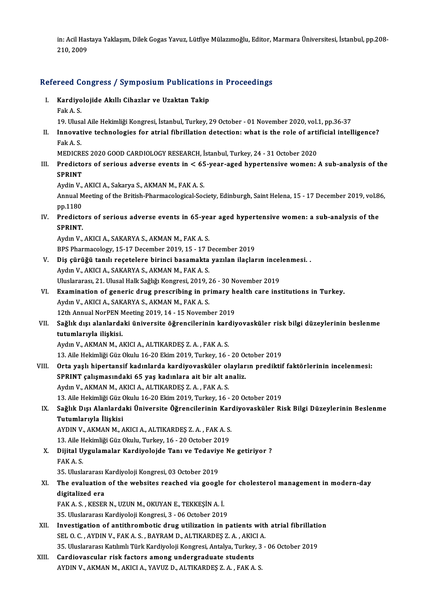in: Acil Hastaya Yaklaşım, Dilek Gogas Yavuz, Lütfiye Mülazımoğlu, Editor, Marmara Üniversitesi, İstanbul, pp.208-<br>210, 2009 in: Acil Has<br>210, 2009

# 210,2009<br>Refereed Congress / Symposium Publications in Proceedings efereed Congress / Symposium Publication:<br>I. Kardiyolojide Akıllı Cihazlar ve Uzaktan Takip

- I. Kardiyolojide Akıllı Cihazlar ve Uzaktan Takip<br>Fak A.S.
	-
- Kardiyolojide Akıllı Cihazlar ve Uzaktan Takip<br>Fak A. S.<br>19. Ulusal Aile Hekimliği Kongresi, İstanbul, Turkey, 29 October 01 November 2020, vol.1, pp.36-37<br>Innovative technologies for atrial fibrilletion detection: what
- Fak A. S.<br>19. Ulusal Aile Hekimliği Kongresi, İstanbul, Turkey, 29 October 01 November 2020, vol.1, pp.36-37<br>11. Innovative technologies for atrial fibrillation detection: what is the role of artificial intelligence?<br> 19. Ulusa<br>Innovat<br>Fak A. S.<br>MEDICP Innovative technologies for atrial fibrillation detection: what is the role of arti<br>Fak A. S.<br>MEDICRES 2020 GOOD CARDIOLOGY RESEARCH, İstanbul, Turkey, 24 - 31 October 2020<br>Predistors of serious adverse events in < 65 year

Fak A. S.<br>MEDICRES 2020 GOOD CARDIOLOGY RESEARCH, İstanbul, Turkey, 24 - 31 October 2020<br>III. Predictors of serious adverse events in < 65-year-aged hypertensive women: A sub-analysis of the<br>SPRINT MEDICRE<br>Predicto<br>SPRINT<br>Ardin V Predictors of serious adverse events in < 65<br>SPRINT<br>Aydin V., AKICI A., Sakarya S., AKMAN M., FAK A. S.<br>Annual Mesting of the British Bharmagelogical Sec

SPRINT<br>Aydin V., AKICI A., Sakarya S., AKMAN M., FAK A. S.<br>Annual Meeting of the British-Pharmacological-Society, Edinburgh, Saint Helena, 15 - 17 December 2019, vol.86, Aydin V.,<br>Annual M<br>pp.1180<br>Prediste Annual Meeting of the British-Pharmacological-Society, Edinburgh, Saint Helena, 15 - 17 December 2019, vol.8<br>pp.1180<br>IV. Predictors of serious adverse events in 65-year aged hypertensive women: a sub-analysis of the<br>spp.NT

pp.1180<br><mark>Predicto</mark><br>SPRINT.<br><sup>Ardm V</sup> Predictors of serious adverse events in 65-ye:<br>SPRINT.<br>Aydın V., AKICI A., SAKARYA S., AKMAN M., FAK A. S.<br>PPS Pharmasology 15 17 December 2019 15 - 17 F

SPRINT.<br>Aydın V., AKICI A., SAKARYA S., AKMAN M., FAK A. S.<br>BPS Pharmacology, 15-17 December 2019, 15 - 17 December 2019

- Aydın V., AKICI A., SAKARYA S., AKMAN M., FAK A. S.<br>BPS Pharmacology, 15-17 December 2019, 15 17 December 2019<br>V. Diş çürüğü tanılı reçetelere birinci basamakta yazılan ilaçların incelenmesi. . Aydın V., AKICI A., SAKARYA S., AKMAN M., FAK A. S.<br>Uluslararası, 21. Ulusal Halk Sağlığı Kongresi, 2019, 26 - 30 November 2019 Diş çürüğü tanılı reçetelere birinci basamakta yazılan ilaçların incel<br>Aydın V., AKICI A., SAKARYA S., AKMAN M., FAK A. S.<br>Uluslararası, 21. Ulusal Halk Sağlığı Kongresi, 2019, 26 - 30 November 2019<br>Evamination of sanaris
- Aydın V., AKICI A., SAKARYA S., AKMAN M., FAK A. S.<br>Uluslararası, 21. Ulusal Halk Sağlığı Kongresi, 2019, 26 30 November 2019<br>VI. Bxamination of generic drug prescribing in primary health care institutions in Turkey.<br>Ayd Aydın V., AKICI A., SAKARYA S., AKMAN M., FAK A. S.<br>12th Annual NorPEN Meeting 2019, 14 - 15 November 2019 Examination of generic drug prescribing in primary head<br>Aydın V., AKICI A., SAKARYA S., AKMAN M., FAK A. S.<br>12th Annual NorPEN Meeting 2019, 14 - 15 November 2019<br>Seğlik disi alanlardaki üniversite öğrensilerinin kardı:
- Aydın V., AKICI A., SAKARYA S., AKMAN M., FAK A. S.<br>12th Annual NorPEN Meeting 2019, 14 15 November 2019<br>VII. Sağlık dışı alanlardaki üniversite öğrencilerinin kardiyovasküler risk bilgi düzeylerinin beslenme<br>tutumla 12th Annual NorPEN<br>Sağlık dışı alanlarda<br>tutumlarıyla ilişkisi.<br>Aydın V. AKMAN M. A tutumlarıyla ilişkisi.<br>Aydın V., AKMAN M., AKICI A., ALTIKARDEŞ Z. A. , FAK A. S.<br>13. Aile Hekimliği Güz Okulu 16-20 Ekim 2019, Turkey, 16 - 20 October 2019<br>Orta yaslı binertaneif kadınlarda kardiyevesküler alayların pradi

tutumlarıyla ilişkisi.<br>Aydın V., AKMAN M., AKICI A., ALTIKARDEŞ Z. A. , FAK A. S.

- VIII. Orta yaşlı hipertansif kadınlarda kardiyovasküler olayların prediktif faktörlerinin incelenmesi:<br>SPRINT çalışmasındaki 65 yaş kadınlara ait bir alt analiz. 13. Aile Hekimliği Güz Okulu 16-20 Ekim 2019, Turkey, 16 - 20 Ochta yaşlı hipertansif kadınlarda kardiyovasküler olaylar<br>SPRINT çalışmasındaki 65 yaş kadınlara ait bir alt analiz.<br>Ardın V. AKMAN M. AKIÇLA, ALTIKAPDES 7. A. AydınV.,AKMANM.,AKICIA.,ALTIKARDEŞ Z.A. ,FAKA.S. 13. Aile Hekimliği Güz Okulu 16-20 Ekim 2019, Turkey, 16 - 20 October 2019 Aydın V., AKMAN M., AKICI A., ALTIKARDEŞ Z. A. , FAK A. S.<br>13. Aile Hekimliği Güz Okulu 16-20 Ekim 2019, Turkey, 16 - 20 October 2019<br>IX. Sağlık Dışı Alanlardaki Üniversite Öğrencilerinin Kardiyovasküler Risk Bilgi Düz
	- 13. Aile Hekimliği Güz (<br>Sağlık Dışı Alanlarda<br>Tutumlarıyla İlişkisi<br>AYDIN V. AKMAN M. A Sağlık Dışı Alanlardaki Üniversite Öğrencilerinin Kar<br>Tutumlarıyla İlişkisi<br>AYDIN V., AKMAN M., AKICI A., ALTIKARDEŞ Z. A. , FAK A. S.<br>12. Aile Hekimliği Cüz Okulu Turkey, 16., 20 October 2019

Tutumlarıyla İlişkisi<br>AYDIN V., AKMAN M., AKICI A., ALTIKARDEŞ Z. A. , FAK A. S.<br>13. Aile Hekimliği Güz Okulu, Turkey, 16 - 20 October 2019<br>Dijital Uygulamalar Kardiyalaida Tanı ve Tadayiye N

- AYDIN V., AKMAN M., AKICI A., ALTIKARDEŞ Z. A. , FAK A. S.<br>13. Aile Hekimliği Güz Okulu, Turkey, 16 20 October 2019<br>X. Dijital Uygulamalar Kardiyolojde Tanı ve Tedaviye Ne getiriyor ?<br>FAK A S 13. Aile H<br>**Dijital U**<br>FAK A. S.<br>25. Uhak Dijital Uygulamalar Kardiyolojde Tanı ve Tedaviy<br>FAK A. S.<br>35. Uluslararası Kardiyoloji Kongresi, 03 October 2019<br>The evaluation of the websites reashed via seosl
	-
- FAK A. S.<br>35. Uluslararası Kardiyoloji Kongresi, 03 October 2019<br>XI. The evaluation of the websites reached via google for cholesterol management in modern-day<br>digitalized are 35. Uluslararası l<br>The evaluation<br>digitalized era The evaluation of the websites reached via google<br>digitalized era<br>FAK A. S., KESER N., UZUN M., OKUYAN E., TEKKEŞİN A. İ.<br>25 Huslararea Kardivaleji Kangresi 2, 06 Ostaber 2016 digitalized era<br>195. Kardin M., UZUN M., OKUYAN E., TEKKEŞİN A. İ.<br>15. Uluslararası Kardiyoloji Kongresi, 3 - 06 October 2019

- FAK A. S. , KESER N., UZUN M., OKUYAN E., TEKKEŞİN A. İ.<br>35. Uluslararası Kardiyoloji Kongresi, 3 06 October 2019<br>XII. Investigation of antithrombotic drug utilization in patients with atrial fibrillation<br>SEL O. G. AVDIN 35. Uluslararası Kardiyoloji Kongresi, 3 - 06 October 2019<br>Investigation of antithrombotic drug utilization in patients with<br>SEL O. C. , AYDIN V., FAK A. S. , BAYRAM D., ALTIKARDEŞ Z. A. , AKICI A.<br>25. Uluslararası Katılım SEL O. C. , AYDIN V., FAK A. S. , BAYRAM D., ALTIKARDEŞ Z. A. , AKICI A.<br>35. Uluslararası Katılımlı Türk Kardiyoloji Kongresi, Antalya, Turkey, 3 - 06 October 2019 SEL O. C., AYDIN V., FAK A. S., BAYRAM D., ALTIKARDEŞ Z. A., AKIC<br>35. Uluslararası Katılımlı Türk Kardiyoloji Kongresi, Antalya, Turkey<br>XIII. Cardiovascular risk factors among undergraduate students
- 35. Uluslararası Katılımlı Türk Kardiyoloji Kongresi, Antalya, Turkey, 3<br><mark>Cardiovascular risk factors among undergraduate students</mark><br>AYDIN V., AKMAN M., AKICI A., YAVUZ D., ALTIKARDEŞ Z. A. , FAK A. S.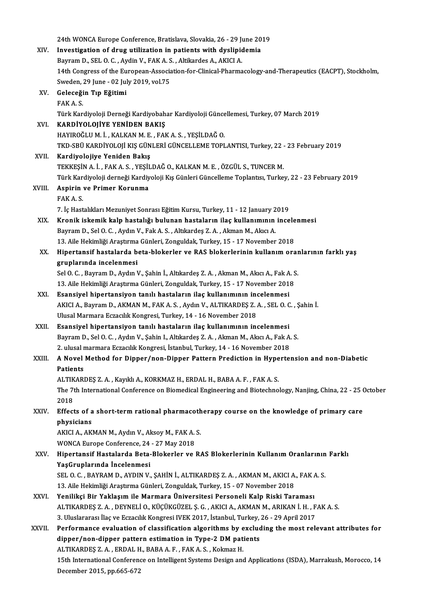|        | 24th WONCA Europe Conference, Bratislava, Slovakia, 26 - 29 June 2019                                         |
|--------|---------------------------------------------------------------------------------------------------------------|
| XIV.   | Investigation of drug utilization in patients with dyslipidemia                                               |
|        | Bayram D., SEL O. C., Aydin V., FAK A. S., Altikardes A., AKICI A.                                            |
|        | 14th Congress of the European-Association-for-Clinical-Pharmacology-and-Therapeutics (EACPT), Stockholm,      |
|        | Sweden, 29 June - 02 July 2019, vol.75                                                                        |
| XV.    | Geleceğin Tıp Eğitimi                                                                                         |
|        | FAK A S                                                                                                       |
|        | Türk Kardiyoloji Derneği Kardiyobahar Kardiyoloji Güncellemesi, Turkey, 07 March 2019                         |
| XVI.   | KARDİYOLOJİYE YENİDEN BAKIŞ                                                                                   |
|        | HAYIROĞLU M. İ., KALKAN M. E., FAK A. S., YEŞİLDAĞ O.                                                         |
|        | TKD-SBÜ KARDİYOLOJİ KIŞ GÜNLERİ GÜNCELLEME TOPLANTISI, Turkey, 22 - 23 February 2019                          |
| XVII.  | Kardiyolojiye Yeniden Bakış                                                                                   |
|        | TEKKEŞİN A. İ., FAK A. S., YEŞİLDAĞ O., KALKAN M. E., ÖZGÜL S., TUNCER M.                                     |
|        | Türk Kardiyoloji derneği Kardiyoloji Kış Günleri Güncelleme Toplantısı, Turkey, 22 - 23 February 2019         |
| XVIII. | Aspirin ve Primer Korunma                                                                                     |
|        | FAKA <sub>S</sub>                                                                                             |
|        | 7. İç Hastalıkları Mezuniyet Sonrası Eğitim Kursu, Turkey, 11 - 12 January 2019                               |
| XIX.   | Kronik iskemik kalp hastalığı bulunan hastaların ilaç kullanımının incelenmesi                                |
|        | Bayram D., Sel O. C., Aydın V., Fak A. S., Altıkardeş Z. A., Akman M., Akıcı A.                               |
|        | 13. Aile Hekimliği Araştırma Günleri, Zonguldak, Turkey, 15 - 17 November 2018                                |
| XX.    | Hipertansif hastalarda beta-blokerler ve RAS blokerlerinin kullanım oranlarının farklı yaş                    |
|        | gruplarında incelenmesi                                                                                       |
|        | Sel O. C., Bayram D., Aydın V., Şahin İ., Altıkardeş Z. A., Akman M., Akıcı A., Fak A. S.                     |
|        | 13. Aile Hekimliği Araştırma Günleri, Zonguldak, Turkey, 15 - 17 November 2018                                |
| XXI.   | Esansiyel hipertansiyon tanılı hastaların ilaç kullanımının incelenmesi                                       |
|        | AKICI A., Bayram D., AKMAN M., FAK A. S., Aydın V., ALTIKARDEŞ Z. A., SEL O. C., Şahin İ.                     |
|        | Ulusal Marmara Eczacılık Kongresi, Turkey, 14 - 16 November 2018                                              |
| XXII.  | Esansiyel hipertansiyon tanılı hastaların ilaç kullanımının incelenmesi                                       |
|        | Bayram D., Sel O. C., Aydın V., Şahin I., Altıkardeş Z. A., Akman M., Akıcı A., Fak A. S.                     |
|        | 2. ulusal marmara Eczacılık Kongresi, İstanbul, Turkey, 14 - 16 November 2018                                 |
| XXIII. | A Novel Method for Dipper/non-Dipper Pattern Prediction in Hypertension and non-Diabetic                      |
|        | Patients                                                                                                      |
|        | ALTIKARDEŞ Z. A., Kayıklı A., KORKMAZ H., ERDAL H., BABA A. F., FAK A. S.                                     |
|        | The 7th International Conference on Biomedical Engineering and Biotechnology, Nanjing, China, 22 - 25 October |
|        | 2018                                                                                                          |
| XXIV.  | Effects of a short-term rational pharmacotherapy course on the knowledge of primary care                      |
|        | physicians                                                                                                    |
|        | AKICI A., AKMAN M., Aydın V., Aksoy M., FAK A. S.                                                             |
|        | WONCA Europe Conference, 24 - 27 May 2018                                                                     |
| XXV    | Hipertansif Hastalarda Beta-Blokerler ve RAS Blokerlerinin Kullanım Oranlarının Farklı                        |
|        | YaşGruplarında İncelenmesi                                                                                    |
|        | SEL O. C., BAYRAM D., AYDIN V., ŞAHİN İ., ALTIKARDEŞ Z. A., AKMAN M., AKICI A., FAK A. S.                     |
|        | 13. Aile Hekimliği Araştırma Günleri, Zonguldak, Turkey, 15 - 07 November 2018                                |
| XXVI.  | Yenilikçi Bir Yaklaşım ile Marmara Üniversitesi Personeli Kalp Riski Taraması                                 |
|        | ALTIKARDEŞ Z. A. , DEYNELİ O., KÜÇÜKGÜZEL Ş. G. , AKICI A., AKMAN M., ARIKAN İ. H. , FAK A. S.                |
|        | 3. Uluslararası İlaç ve Eczacılık Kongresi IVEK 2017, İstanbul, Turkey, 26 - 29 April 2017                    |
| XXVII. | Performance evaluation of classification algorithms by excluding the most relevant attributes for             |
|        | dipper/non-dipper pattern estimation in Type-2 DM patients                                                    |
|        | ALTIKARDEŞ Z. A., ERDAL H., BABA A. F., FAK A. S., Kokmaz H.                                                  |
|        | 15th International Conference on Intelligent Systems Design and Applications (ISDA), Marrakush, Morocco, 14   |
|        | December 2015, pp.665-672                                                                                     |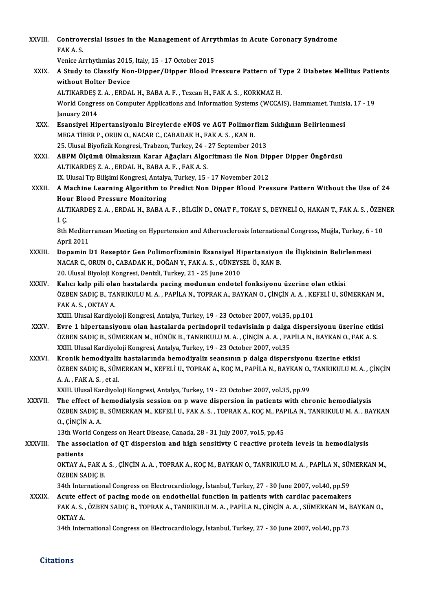| <b>XXVIII</b> | Controversial issues in the Management of Arrythmias in Acute Coronary Syndrome<br>FAK A S                                                                                                                                                                                                      |
|---------------|-------------------------------------------------------------------------------------------------------------------------------------------------------------------------------------------------------------------------------------------------------------------------------------------------|
|               | Venice Arrhythmias 2015, Italy, 15 - 17 October 2015                                                                                                                                                                                                                                            |
| XXIX.         | A Study to Classify Non-Dipper/Dipper Blood Pressure Pattern of Type 2 Diabetes Mellitus Patients                                                                                                                                                                                               |
|               | without Holter Device                                                                                                                                                                                                                                                                           |
|               | ALTIKARDEȘ Z. A., ERDAL H., BABA A. F., Tezcan H., FAK A. S., KORKMAZ H.                                                                                                                                                                                                                        |
|               | World Congress on Computer Applications and Information Systems (WCCAIS), Hammamet, Tunisia, 17 - 19<br>January 2014                                                                                                                                                                            |
| XXX.          | Esansiyel Hipertansiyonlu Bireylerde eNOS ve AGT Polimorfizm Sıklığının Belirlenmesi<br>MEGA TIBER P., ORUN O., NACAR C., CABADAK H., FAK A. S., KAN B.                                                                                                                                         |
|               | 25. Ulusal Biyofizik Kongresi, Trabzon, Turkey, 24 - 27 September 2013                                                                                                                                                                                                                          |
| <b>XXXI</b>   | ABPM Ölçümü Olmaksızın Karar Ağaçları Algoritması ile Non Dipper Dipper Öngörüsü<br>ALTIKARDES Z.A., ERDAL H., BABA A.F., FAK A.S.                                                                                                                                                              |
|               | IX. Ulusal Tıp Bilişimi Kongresi, Antalya, Turkey, 15 - 17 November 2012                                                                                                                                                                                                                        |
| XXXII.        | A Machine Learning Algorithm to Predict Non Dipper Blood Pressure Pattern Without the Use of 24<br><b>Hour Blood Pressure Monitoring</b>                                                                                                                                                        |
|               | ALTIKARDEŞ Z. A., ERDAL H., BABA A. F., BİLGİN D., ONAT F., TOKAY S., DEYNELİ O., HAKAN T., FAK A. S., ÖZENER<br>iç.                                                                                                                                                                            |
|               | 8th Mediterranean Meeting on Hypertension and Atherosclerosis International Congress, Muğla, Turkey, 6 - 10<br>April 2011                                                                                                                                                                       |
| XXXIII.       | Dopamin D1 Reseptör Gen Polimorfizminin Esansiyel Hipertansiyon ile İlişkisinin Belirlenmesi                                                                                                                                                                                                    |
|               | NACAR C., ORUN O., CABADAK H., DOĞAN Y., FAK A. S., GÜNEYSEL Ö., KAN B.                                                                                                                                                                                                                         |
|               | 20. Ulusal Biyoloji Kongresi, Denizli, Turkey, 21 - 25 June 2010                                                                                                                                                                                                                                |
| <b>XXXIV</b>  | Kalıcı kalp pili olan hastalarda pacing modunun endotel fonksiyonu üzerine olan etkisi                                                                                                                                                                                                          |
|               | ÖZBEN SADIÇ B., TANRIKULU M. A., PAPİLA N., TOPRAK A., BAYKAN O., ÇİNÇİN A. A., KEFELİ U., SÜMERKAN M.,<br>FAK A S , OKTAY A                                                                                                                                                                    |
|               | XXIII. Ulusal Kardiyoloji Kongresi, Antalya, Turkey, 19 - 23 October 2007, vol.35, pp.101                                                                                                                                                                                                       |
| <b>XXXV</b>   | Evre 1 hipertansiyonu olan hastalarda perindopril tedavisinin p dalga dispersiyonu üzerine etkisi<br>ÖZBEN SADIÇ B., SÜMERKAN M., HÜNÜK B., TANRIKULU M. A., ÇİNÇİN A. A., PAPİLA N., BAYKAN O., FAK A. S.<br>XXIII. Ulusal Kardiyoloji Kongresi, Antalya, Turkey, 19 - 23 October 2007, vol.35 |
| <b>XXXVI</b>  | Kronik hemodiyaliz hastalarında hemodiyaliz seansının p dalga dispersiyonu üzerine etkisi                                                                                                                                                                                                       |
|               | ÖZBEN SADIÇ B., SÜMERKAN M., KEFELİ U., TOPRAK A., KOÇ M., PAPİLA N., BAYKAN O., TANRIKULU M. A. , ÇİNÇİN<br>A A , FAK A S , et al.                                                                                                                                                             |
|               | XXIII. Ulusal Kardiyoloji Kongresi, Antalya, Turkey, 19 - 23 October 2007, vol.35, pp.99                                                                                                                                                                                                        |
| XXXVII.       | The effect of hemodialysis session on p wave dispersion in patients with chronic hemodialysis<br>ÖZBEN SADIÇ B., SÜMERKAN M., KEFELİ U., FAK A. S., TOPRAK A., KOÇ M., PAPILA N., TANRIKULU M. A., BAYKAN                                                                                       |
|               | 0, CINCIN A.A.                                                                                                                                                                                                                                                                                  |
|               | 13th World Congess on Heart Disease, Canada, 28 - 31 July 2007, vol.5, pp.45                                                                                                                                                                                                                    |
| XXXVIII.      | The association of QT dispersion and high sensitivty C reactive protein levels in hemodialysis                                                                                                                                                                                                  |
|               | patients<br>OKTAY A., FAK A. S., ÇİNÇİN A. A., TOPRAK A., KOÇ M., BAYKAN O., TANRIKULU M. A., PAPİLA N., SÜMERKAN M.,<br>ÖZBEN SADIÇ B.                                                                                                                                                         |
|               | 34th International Congress on Electrocardiology, İstanbul, Turkey, 27 - 30 June 2007, vol.40, pp.59                                                                                                                                                                                            |
| <b>XXXIX</b>  | Acute effect of pacing mode on endothelial function in patients with cardiac pacemakers                                                                                                                                                                                                         |
|               | FAK A. S., ÖZBEN SADIÇ B., TOPRAK A., TANRIKULU M. A., PAPİLA N., ÇİNÇİN A. A., SÜMERKAN M., BAYKAN O.,<br>OKTAY A.                                                                                                                                                                             |
|               | 34th International Congress on Electrocardiology, İstanbul, Turkey, 27 - 30 June 2007, vol.40, pp.73                                                                                                                                                                                            |

**Citations**